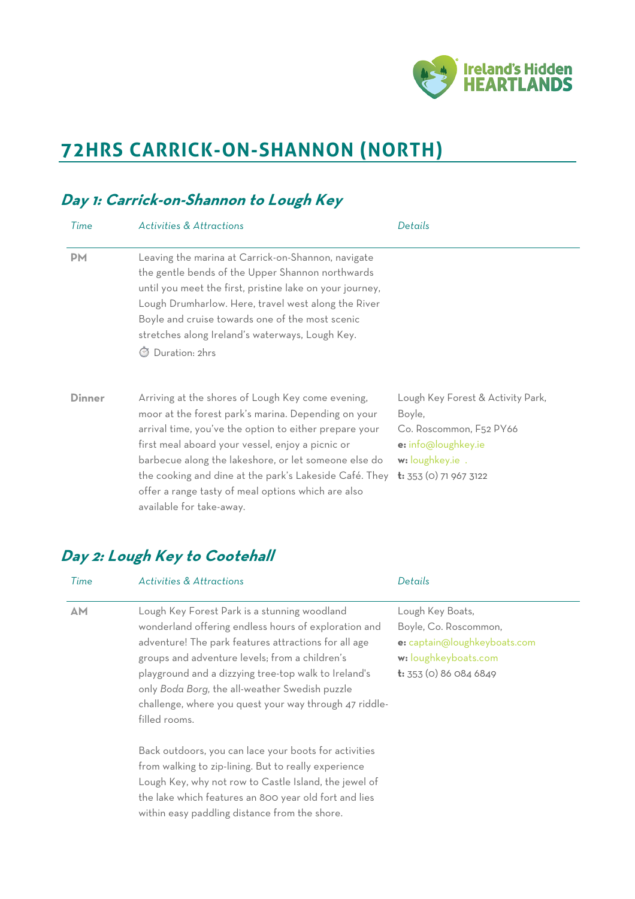

# **72HRS CARRICK-ON-SHANNON (NORTH)**

#### **Day 1: Carrick-on-Shannon to Lough Key** *Time Activities & Attractions Details* **PM** Leaving the marina at Carrick-on-Shannon, navigate the gentle bends of the Upper Shannon northwards until you meet the first, pristine lake on your journey, Lough Drumharlow. Here, travel west along the River Boyle and cruise towards one of the most scenic stretches along Ireland's waterways, Lough Key. ⏱ Duration: 2hrs **Dinner** Arriving at the shores of Lough Key come evening, moor at the forest park's marina. Depending on your arrival time, you've the option to either prepare your first meal aboard your vessel, enjoy a picnic or barbecue along the lakeshore, or let someone else do the cooking and dine at the park's Lakeside Café. They **t:** 353 (0) 71 967 3122 offer a range tasty of meal options which are also available for take-away. Lough Key Forest & Activity Park, Boyle, Co. Roscommon, F52 PY66 **e:** info@loughkey.ie **w:** loughkey.ie .

# **Day 2: Lough Key to Cootehall**

| Time | <b>Activities &amp; Attractions</b>                                                                                                                                                                                                                                                                                                                                                                 | Details                                                                                                                            |
|------|-----------------------------------------------------------------------------------------------------------------------------------------------------------------------------------------------------------------------------------------------------------------------------------------------------------------------------------------------------------------------------------------------------|------------------------------------------------------------------------------------------------------------------------------------|
| AМ   | Lough Key Forest Park is a stunning woodland<br>wonderland offering endless hours of exploration and<br>adventure! The park features attractions for all age<br>groups and adventure levels; from a children's<br>playground and a dizzying tree-top walk to Ireland's<br>only Boda Borg, the all-weather Swedish puzzle<br>challenge, where you quest your way through 47 riddle-<br>filled rooms. | Lough Key Boats,<br>Boyle, Co. Roscommon,<br>e: captain@loughkeyboats.com<br>w: loughkeyboats.com<br><b>t:</b> 353 (0) 86 084 6849 |
|      | Back outdoors, you can lace your boots for activities<br>from walking to zip-lining. But to really experience<br>Lough Key, why not row to Castle Island, the jewel of<br>the lake which features an 800 year old fort and lies<br>within easy paddling distance from the shore.                                                                                                                    |                                                                                                                                    |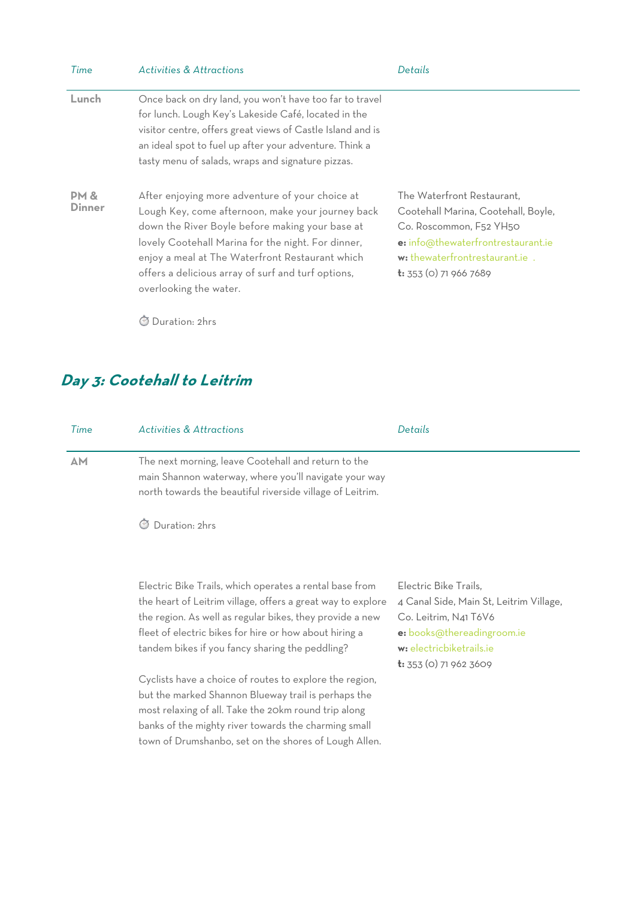| Time           | <b>Activities &amp; Attractions</b>                                                                                                                                                                                                                                                                                                              | Details                                                                                                                                                                                                |
|----------------|--------------------------------------------------------------------------------------------------------------------------------------------------------------------------------------------------------------------------------------------------------------------------------------------------------------------------------------------------|--------------------------------------------------------------------------------------------------------------------------------------------------------------------------------------------------------|
| Lunch          | Once back on dry land, you won't have too far to travel<br>for lunch. Lough Key's Lakeside Café, located in the<br>visitor centre, offers great views of Castle Island and is<br>an ideal spot to fuel up after your adventure. Think a<br>tasty menu of salads, wraps and signature pizzas.                                                     |                                                                                                                                                                                                        |
| PM &<br>Dinner | After enjoying more adventure of your choice at<br>Lough Key, come afternoon, make your journey back<br>down the River Boyle before making your base at<br>lovely Cootehall Marina for the night. For dinner,<br>enjoy a meal at The Waterfront Restaurant which<br>offers a delicious array of surf and turf options,<br>overlooking the water. | The Waterfront Restaurant.<br>Cootehall Marina, Cootehall, Boyle,<br>Co. Roscommon, F52 YH50<br>e: info@thewaterfrontrestaurant.ie<br>w: thewaterfrontrestaurant.ie .<br><b>t:</b> 353 (0) 71 966 7689 |

⏱ Duration: 2hrs

#### **Day 3: Cootehall to Leitrim**

| Time | <b>Activities &amp; Attractions</b>                                                                                                                                                                   | Details |
|------|-------------------------------------------------------------------------------------------------------------------------------------------------------------------------------------------------------|---------|
| ΔM   | The next morning, leave Cootehall and return to the<br>main Shannon waterway, where you'll navigate your way<br>north towards the beautiful riverside village of Leitrim.<br>$\alpha$ $\sim$ $\alpha$ |         |

⏱ Duration: 2hrs

Electric Bike Trails, which operates a rental base from the heart of Leitrim village, offers a great way to explore the region. As well as regular bikes, they provide a new fleet of electric bikes for hire or how about hiring a tandem bikes if you fancy sharing the peddling?

Cyclists have a choice of routes to explore the region, but the marked Shannon Blueway trail is perhaps the most relaxing of all. Take the 20km round trip along banks of the mighty river towards the charming small town of Drumshanbo, set on the shores of Lough Allen.

Electric Bike Trails, 4 Canal Side, Main St, Leitrim Village, Co. Leitrim, N41 T6V6 **e:** books@thereadingroom.ie **w:** electricbiketrails.ie **t:** 353 (0) 71 962 3609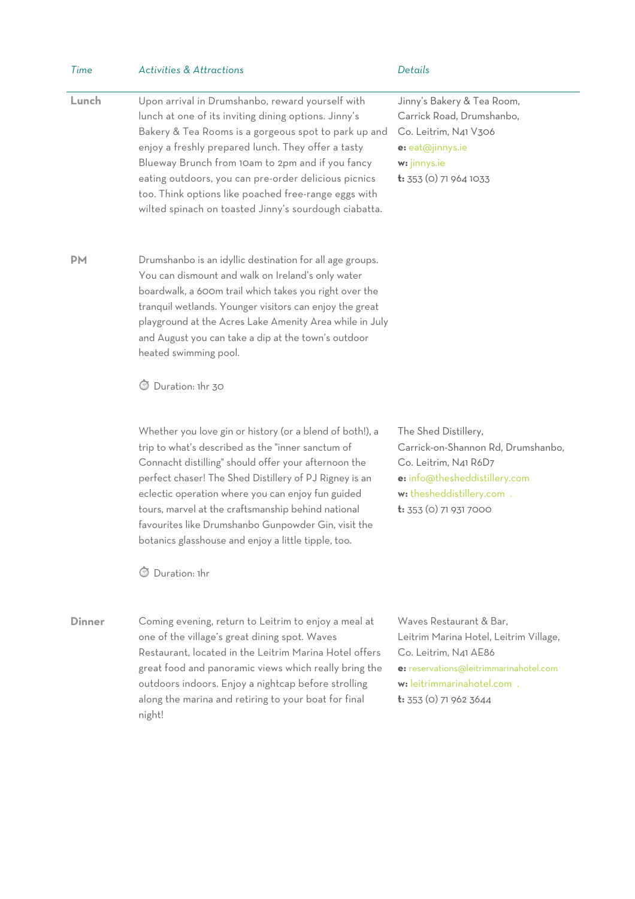| Time          | <b>Activities &amp; Attractions</b>                                                                                                                                                                                                                                                                                                                                                                                                                                       | Details                                                                                                                                                                                         |
|---------------|---------------------------------------------------------------------------------------------------------------------------------------------------------------------------------------------------------------------------------------------------------------------------------------------------------------------------------------------------------------------------------------------------------------------------------------------------------------------------|-------------------------------------------------------------------------------------------------------------------------------------------------------------------------------------------------|
| Lunch         | Upon arrival in Drumshanbo, reward yourself with<br>lunch at one of its inviting dining options. Jinny's<br>Bakery & Tea Rooms is a gorgeous spot to park up and<br>enjoy a freshly prepared lunch. They offer a tasty<br>Blueway Brunch from 10am to 2pm and if you fancy<br>eating outdoors, you can pre-order delicious picnics<br>too. Think options like poached free-range eggs with<br>wilted spinach on toasted Jinny's sourdough ciabatta.                       | Jinny's Bakery & Tea Room,<br>Carrick Road, Drumshanbo,<br>Co. Leitrim, N41 V306<br>e: eat@jinnys.ie<br>w: jinnys.ie<br>t: 353 (0) 71 964 1033                                                  |
| <b>PM</b>     | Drumshanbo is an idyllic destination for all age groups.<br>You can dismount and walk on Ireland's only water<br>boardwalk, a 600m trail which takes you right over the<br>tranquil wetlands. Younger visitors can enjoy the great<br>playground at the Acres Lake Amenity Area while in July<br>and August you can take a dip at the town's outdoor<br>heated swimming pool.<br>S Duration: 1hr 30                                                                       |                                                                                                                                                                                                 |
|               | Whether you love gin or history (or a blend of both!), a<br>trip to what's described as the "inner sanctum of<br>Connacht distilling" should offer your afternoon the<br>perfect chaser! The Shed Distillery of PJ Rigney is an<br>eclectic operation where you can enjoy fun guided<br>tours, marvel at the craftsmanship behind national<br>favourites like Drumshanbo Gunpowder Gin, visit the<br>botanics glasshouse and enjoy a little tipple, too.<br>Duration: 1hr | The Shed Distillery,<br>Carrick-on-Shannon Rd, Drumshanbo,<br>Co. Leitrim, N41 R6D7<br>e: info@thesheddistillery.com<br>w: thesheddistillery.com .<br>$t: 353$ (0) 71 931 7000                  |
| <b>Dinner</b> | Coming evening, return to Leitrim to enjoy a meal at<br>one of the village's great dining spot. Waves<br>Restaurant, located in the Leitrim Marina Hotel offers<br>great food and panoramic views which really bring the<br>outdoors indoors. Enjoy a nightcap before strolling<br>along the marina and retiring to your boat for final<br>night!                                                                                                                         | Waves Restaurant & Bar,<br>Leitrim Marina Hotel, Leitrim Village,<br>Co. Leitrim, N41 AE86<br>e: reservations@leitrimmarinahotel.com<br>w: leitrimmarinahotel.com .<br>$t: 353$ (0) 71 962 3644 |